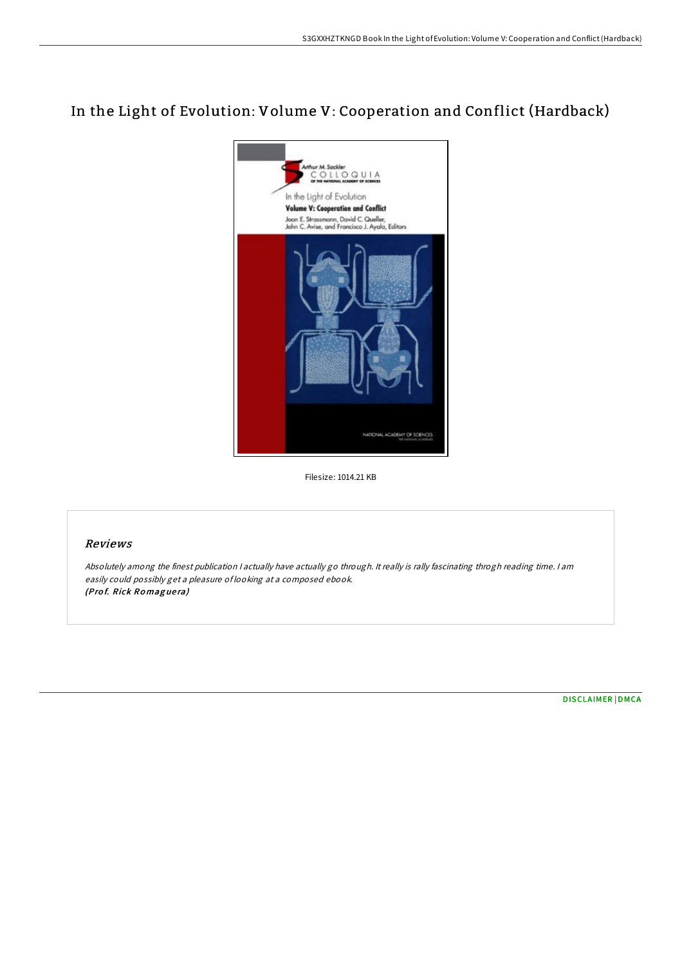## In the Light of Evolution: Volume V: Cooperation and Conflict (Hardback)



Filesize: 1014.21 KB

## Reviews

Absolutely among the finest publication <sup>I</sup> actually have actually go through. It really is rally fascinating throgh reading time. <sup>I</sup> am easily could possibly get <sup>a</sup> pleasure of looking at <sup>a</sup> composed ebook. (Prof. Rick Romaguera)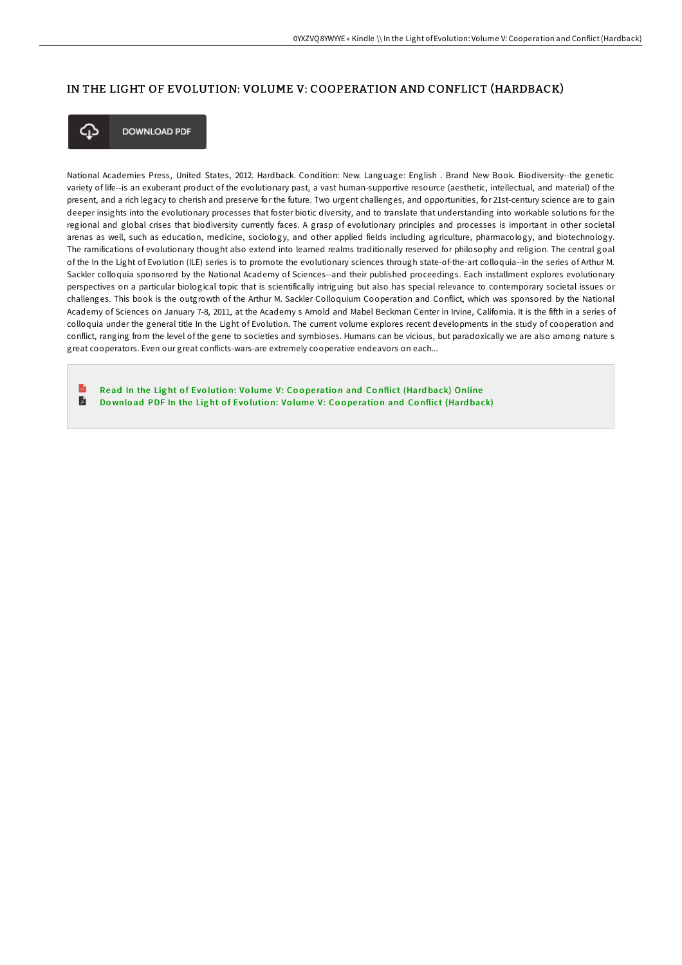## IN THE LIGHT OF EVOLUTION: VOLUME V: COOPERATION AND CONFLICT (HARDBACK)



**DOWNLOAD PDF** 

National Academies Press, United States, 2012. Hardback. Condition: New. Language: English . Brand New Book. Biodiversity--the genetic variety of life--is an exuberant product of the evolutionary past, a vast human-supportive resource (aesthetic, intellectual, and material) of the present, and a rich legacy to cherish and preserve for the future. Two urgent challenges, and opportunities, for 21st-century science are to gain deeper insights into the evolutionary processes that foster biotic diversity, and to translate that understanding into workable solutions for the regional and global crises that biodiversity currently faces. A grasp of evolutionary principles and processes is important in other societal arenas as well, such as education, medicine, sociology, and other applied fields including agriculture, pharmacology, and biotechnology. The ramifications of evolutionary thought also extend into learned realms traditionally reserved for philosophy and religion. The central goal of the In the Light of Evolution (ILE) series is to promote the evolutionary sciences through state-of-the-art colloquia--in the series of Arthur M. Sackler colloquia sponsored by the National Academy of Sciences--and their published proceedings. Each installment explores evolutionary perspectives on a particular biological topic that is scientifically intriguing but also has special relevance to contemporary societal issues or challenges. This book is the outgrowth of the Arthur M. Sackler Colloquium Cooperation and Conflict, which was sponsored by the National Academy of Sciences on January 7-8, 2011, at the Academy s Arnold and Mabel Beckman Center in Irvine, California. It is the fifth in a series of colloquia under the general title In the Light of Evolution. The current volume explores recent developments in the study of cooperation and conflict, ranging from the level of the gene to societies and symbioses. Humans can be vicious, but paradoxically we are also among nature s great cooperators. Even our great conflicts-wars-are extremely cooperative endeavors on each...

Read In the Light of Evolution: Volume V: Cooperation and Conflict (Hardback) [Online](http://almighty24.tech/in-the-light-of-evolution-volume-v-cooperation-a.html) A Download PDF In the Light of Evolution: Volume V: Cooperation and Conflict [\(Hard](http://almighty24.tech/in-the-light-of-evolution-volume-v-cooperation-a.html)back)